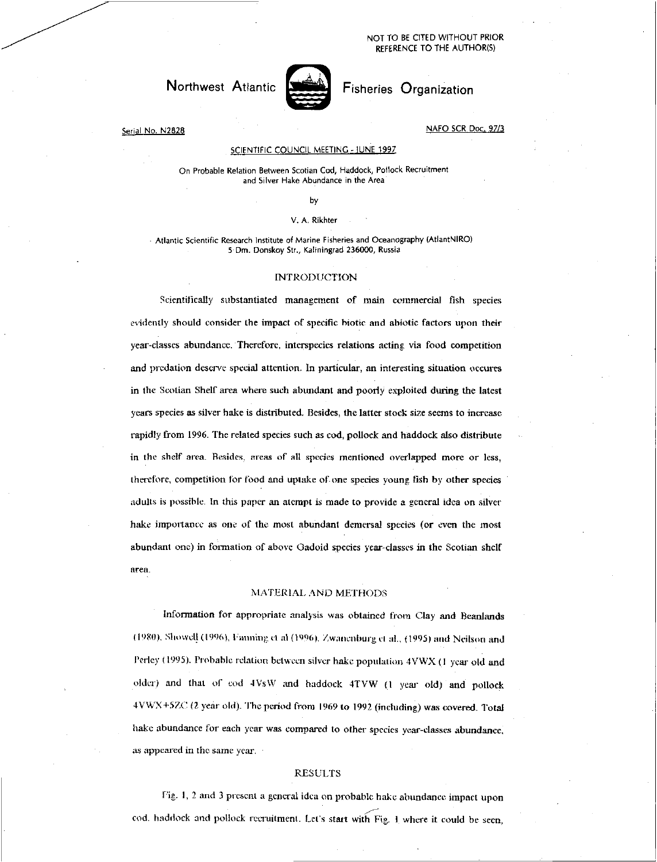# Northwest Atlantic **Any Fisheries Organization**



Serial No. N2828 NAFO SCR Doc. 97/3

#### SCIENTIFIC COUNCIL MEETING - IUNE 1997

On Probable Relation Between Scotian Cod, Haddock, Pollock Recruitment and Silver Hake Abundance in the Area

by

#### V. A. Rikhter

• Atlantic Scientific Research Institute of Marine Fisheries and Oceanography (AtlantNIRO) 5 Dm. Donskoy Str., Kaliningrad 236000, Russia

## INTRODUCTION

Scientifically substantiated management of main commercial fish species evidently should consider the impact of specific biotic and ahiotic factors upon their year-classes abundance. Therefore, interspecies relations acting via food competition and predation deserve special attention. In particular, an interesting situation occures in the Scotian Shelf area where such abundant and poorly exploited during the latest years species as silver hake is distributed. Besides, the latter stock size seems to increase rapidly from 1996. The related species such as cod, pollock and haddock also distribute in the shelf area. Besides, areas of all species mentioned overlapped more or less, therefore, competition for food and uptake of one species young fish by other species adults is possible. In this paper an atcmpt is made to provide a general idea on silver hake importance as one of the most abundant demersal species (or even the most abundant one) in formation of above Oadoid species year-classes in the Scotian shelf area.

### MATERIAL. AND METHODS

Information for appropriate analysis was obtained from Clay and Beanlands (1980), Showell (1996), Fanning et al (1996), Zwanenburg ct al., (1995) and Neilson and Perley (1995). Probable relation between silver hake population 4VWX (I year old and older) and that of cod 4 VsW and haddock 4TVW (I year old) and pollock 4VWX+57X: (2 year old). The period from 1969 to 1992 (including) was covered. Total hake abundance for each year was compared to other species year-classes abundance, as appeared in the same year.

### RESULTS

Fig. I, 2 and 3 present a general idea on probable hake abundance impact upon cod. haddock and pollock recruitment. Let's start with Fig. 1 where it could he seen,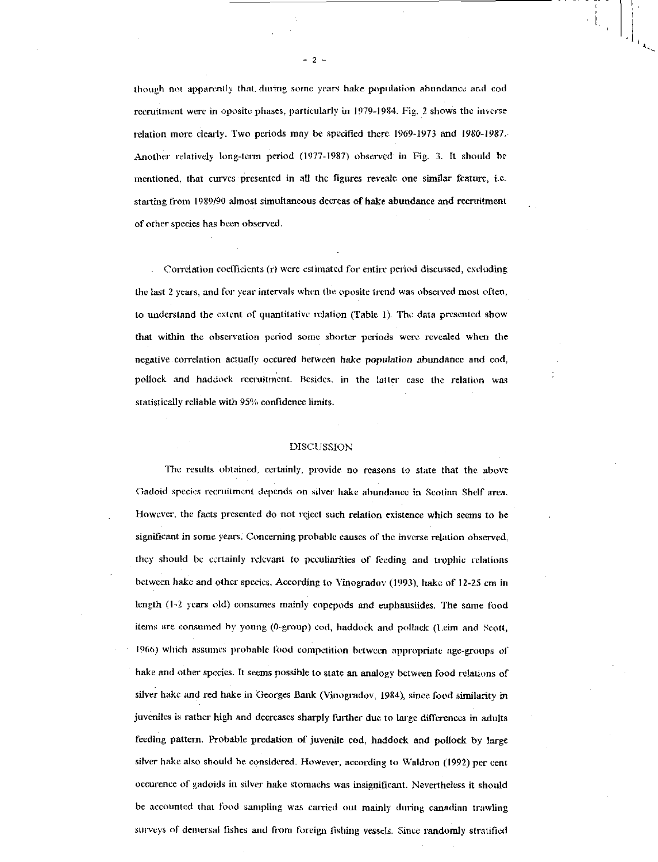though not apparently that dining some years hake population abundance and cod recruitment were in oposite phases, particularly in 1979-1984. Fig. 2 shows the inverse relation more clearly. Two periods may he specified there 1969-1973 and *1980-1987..*  Another relatively long-term period (1977-1987) observed in Fig. 3. It should he mentioned, that curves presented in all the figures reveale one similar feature, i.e. starting from 1989/90 almost simultaneous decreas of hake abundance and recruitment of other species has been observed.

Correlation coefficients (r) were estimated for entire period discussed, excluding the last 2 years, and for year intervals when the oposite trend was observed most often, to understand the extent of quantitative relation (Table I). The data presented show that within the observation period some shorter periods were revealed when the negative correlation actually occured between hake *population* abundance and cod, pollock and haddock recruitment. Besides, in the latter case the relation was statistically reliable with 95% confidence limits.

#### DISCUSSION

The results obtained, certainly, provide no reasons to state that the above Gadoid species recruitment depends on silver hake abundance in Scotian Shelf area. However, the facts presented do not reject such relation existence which seems to be significant in some years. Concerning probable causes of the inverse relation observed, they should be certainly relevant to peculiarities of feeding and trophic relations between hake and other species. According to Vinogradov (1993), hake of 12-25 cm in length (1-2 years old) consumes mainly copepods and euphausiides. The same food items are consumed by young (0-group) cod, haddock and pollack (1.eim and Scott, - 1966) which assumes probable food competition between appropriate age-groups of hake and other species. It seems possible to state an analogy between food relations of silver hake and red hake in 'Georges Bank (Vinogradov, 1984), since food similarity in juveniles is rather high and decreases sharply further due to large differences in adults feeding pattern. Probable predation of juvenile cod, haddock and pollock by large silver hake also should be considered. However, according to Waldron (1992) per cent oceurence of gadoids in silver hake stomachs was insignificant. Nevertheless it should be accounted that food sampling was carried out mainly during canadian trawling surveys of demersal fishes and from foreign fishing vessels. Since randomly stratified

- 2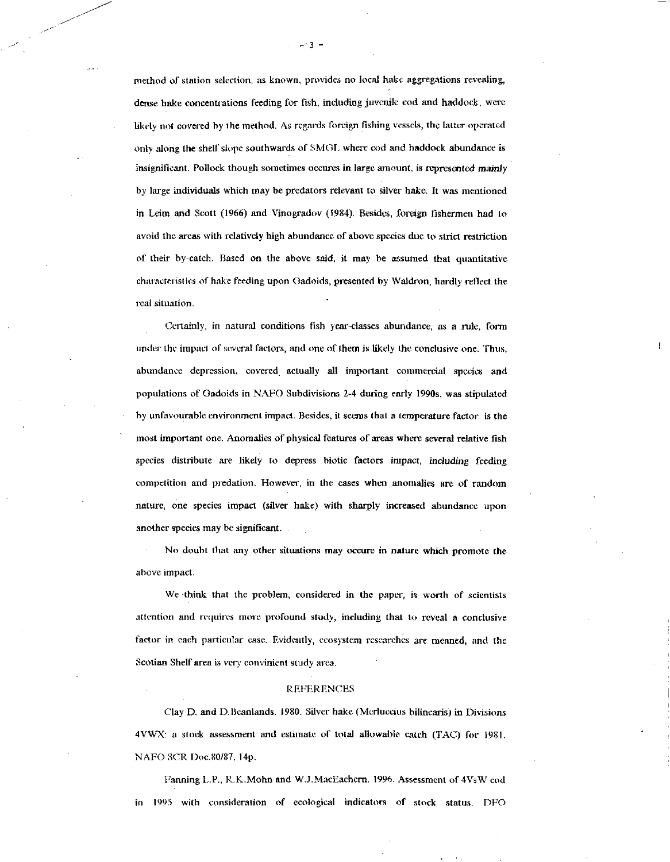method of station selection, as known, provides no local hake aggregations revealing, dense hake concentrations feeding for fish, including juvenile cod and haddock, were likely not covered by the method. As regards foreign fishing vessels, the latter operated only along the shelf slope southwards of SMOI. where cod and haddock abundance is insignificant. Pollock though sometimes occures in large amount, is represented mainly by large individuals which may be predators relevant to silver hake. It was mentioned in Leim and Scott (1966) and Vinogradov (1984). Besides, foreign fishermen had to avoid the areas with relatively high abundance of above species due to strict restriction of their by-catch. Based on the above said, it may be assumed that quantitative characteristics of hake feeding upon Gadoids, presented by Waldron, hardly reflect the real situation.

Certainly, in natural conditions fish year-classes abundance, as a rule, form under the impact of several factors, and one of them is likely the conclusive one. Thus, abundance depression, covered . actually all important commercial species and populations of Gadoids in NAFO Subdivisions 2-4 during early 1990s, was stipulated by unfavourable environment impact. Besides, it seems that a temperature factor is the most important one. Anomalies of physical features of areas where several relative fish species distribute are likely to depress biotic factors impact, *including* feeding competition and predation. However, in the cases when anomalies are of random nature, one species impact (silver hake) with sharply increased abundance upon another species may he significant.

No doubt that any other situations may occure in nature which promote the above impact.

We -think that the problem, considered in the paper, is worth of scientists attention and requires more profound study, including that to reveal a conclusive factor in each particular case. Evidently, ecosystem researches are meaned, and the Scotian Shelf area is very convinient study area.

#### REFERENCES

Clay D. and D.Beanlands. 1980. Silver hake (Merluccius bilinearisj in Divisions 4VWX: a stock assessment and estimate of total allowable catch (TAC) for 1981. NAFO SCR Doc.80187, 14p.

Fanning L.P., R.K.Mohn and W.J.MacEachern. 1996. Assessment of 4VsW cod in 1995 with consideration of ecological indicators of stock status. DFO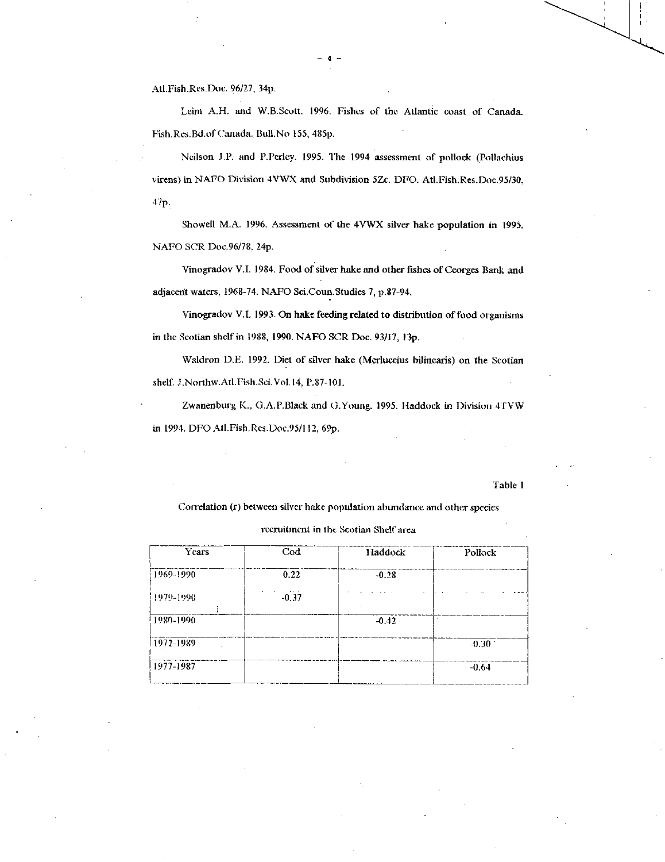AtI.Fish.Res.Doc. 96/27, 34p.

Leim A.H. and W.B.Scott. 1996. Fishes of the Atlantic coast of Canada. Fish.Res.Bd.of Canada. Bu11.No 155, 485p.

Neilson J.P. and P.Perlcy. 1995. The 1994 assessment of pollock (Pollachius virens) in NAFO Division 4VWX and Subdivision 5Ze. DFO. Atl.Fish.Res.Doc.95/30,  $47p.$ 

Showell M.A. 1996. Assessment of the 4VWX silver hake population in 1995. NAFO SCR Doc.96/78, 24p.

Vinogradov V.I. 1984. Food of silver hake and other fishes of Ceorges Bank and adjacent waters, 1968-74. NAFO Sci.Coun.Studies 7, p.87-94.

Vinogradov V.I. 1993. On hake feeding related to distribution of food organisms in the Scotian shelf in 1988, 1990. NAFO SCR Doe. 93/17, 13p.

Waldron D.E. 1992. Diet of silver hake (Merluccius bilinearis) on the Scotian shelf. J. Northw. Atl. Fish. Sci. Vol. 14, P.87-101.

Zwanenburg K., G.A.P.Black and G.Young. 1995. Haddock in Division 4TVW in 1994. DFO MI.Fish.Res.Doc.95/112, 69p.

#### Table 1

Correlation (r) between silver hake population abundance and other species

| recruitment in the Scotian Shelf area |  |  |  |  |  |
|---------------------------------------|--|--|--|--|--|
|---------------------------------------|--|--|--|--|--|

| Years     | $\bf{Cod}$ | Haddock | Pollock |
|-----------|------------|---------|---------|
| 1969-1990 | 0.22       | $-0.28$ |         |
| 1979-1990 | $-0.37$    |         |         |
| 1980-1990 |            | $-0.42$ |         |
| 1972-1989 |            |         | $-0.30$ |
| 1977-1987 |            |         | $-0.64$ |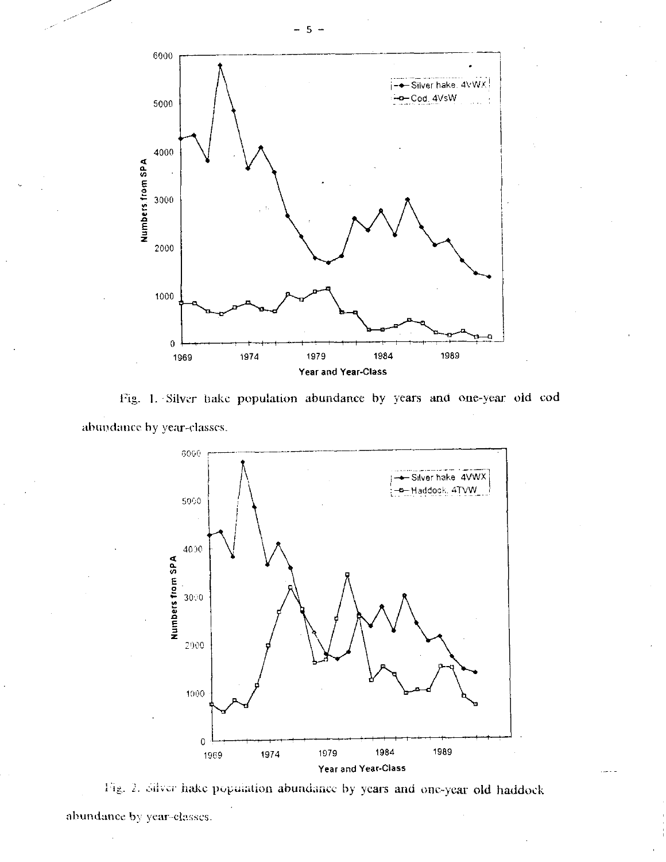

Fig. 1. Silver hake population abundance by years and one-year old cod abundance by year-classes.



Fig. 2. Silver hake population abundance by years and one-year old haddock abundance by year-elasses.

5